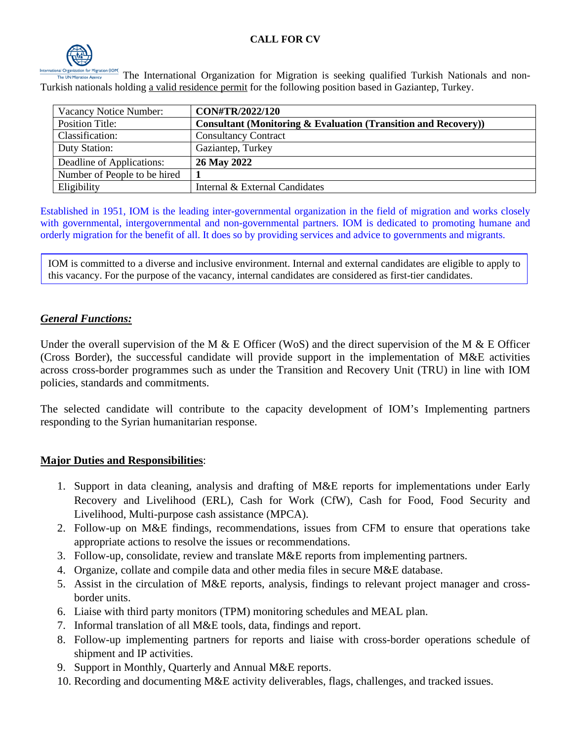

The International Organization for Migration is seeking qualified Turkish Nationals and non-Turkish nationals holding a valid residence permit for the following position based in Gaziantep, Turkey.

| Vacancy Notice Number:       | CON#TR/2022/120                                                           |
|------------------------------|---------------------------------------------------------------------------|
| <b>Position Title:</b>       | <b>Consultant (Monitoring &amp; Evaluation (Transition and Recovery))</b> |
| Classification:              | <b>Consultancy Contract</b>                                               |
| Duty Station:                | Gaziantep, Turkey                                                         |
| Deadline of Applications:    | 26 May 2022                                                               |
| Number of People to be hired |                                                                           |
| Eligibility                  | Internal & External Candidates                                            |

Established in 1951, IOM is the leading inter-governmental organization in the field of migration and works closely with governmental, intergovernmental and non-governmental partners. IOM is dedicated to promoting humane and orderly migration for the benefit of all. It does so by providing services and advice to governments and migrants.

IOM is committed to a diverse and inclusive environment. Internal and external candidates are eligible to apply to this vacancy. For the purpose of the vacancy, internal candidates are considered as first-tier candidates.

# *General Functions:*

Under the overall supervision of the M  $\&$  E Officer (WoS) and the direct supervision of the M  $\&$  E Officer (Cross Border), the successful candidate will provide support in the implementation of M&E activities across cross-border programmes such as under the Transition and Recovery Unit (TRU) in line with IOM policies, standards and commitments.

The selected candidate will contribute to the capacity development of IOM's Implementing partners responding to the Syrian humanitarian response.

# **Major Duties and Responsibilities**:

- 1. Support in data cleaning, analysis and drafting of M&E reports for implementations under Early Recovery and Livelihood (ERL), Cash for Work (CfW), Cash for Food, Food Security and Livelihood, Multi-purpose cash assistance (MPCA).
- 2. Follow-up on M&E findings, recommendations, issues from CFM to ensure that operations take appropriate actions to resolve the issues or recommendations.
- 3. Follow-up, consolidate, review and translate M&E reports from implementing partners.
- 4. Organize, collate and compile data and other media files in secure M&E database.
- 5. Assist in the circulation of M&E reports, analysis, findings to relevant project manager and crossborder units.
- 6. Liaise with third party monitors (TPM) monitoring schedules and MEAL plan.
- 7. Informal translation of all M&E tools, data, findings and report.
- 8. Follow-up implementing partners for reports and liaise with cross-border operations schedule of shipment and IP activities.
- 9. Support in Monthly, Quarterly and Annual M&E reports.
- 10. Recording and documenting M&E activity deliverables, flags, challenges, and tracked issues.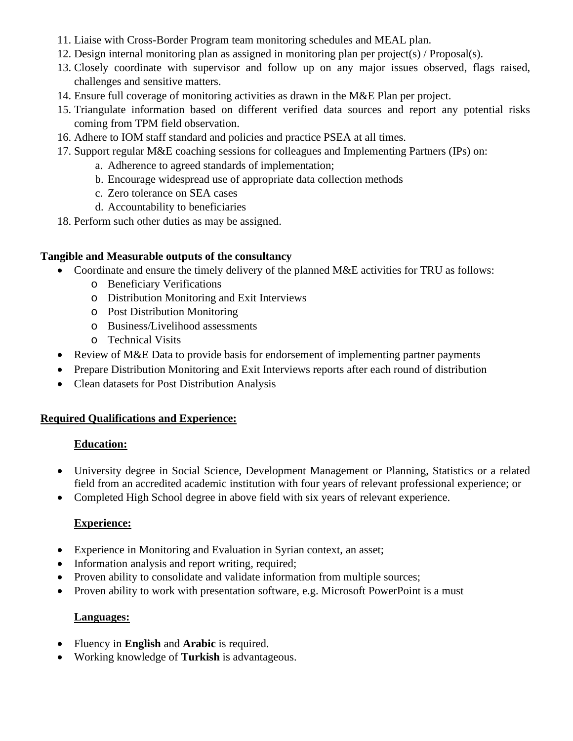- 11. Liaise with Cross-Border Program team monitoring schedules and MEAL plan.
- 12. Design internal monitoring plan as assigned in monitoring plan per project(s) / Proposal(s).
- 13. Closely coordinate with supervisor and follow up on any major issues observed, flags raised, challenges and sensitive matters.
- 14. Ensure full coverage of monitoring activities as drawn in the M&E Plan per project.
- 15. Triangulate information based on different verified data sources and report any potential risks coming from TPM field observation.
- 16. Adhere to IOM staff standard and policies and practice PSEA at all times.
- 17. Support regular M&E coaching sessions for colleagues and Implementing Partners (IPs) on:
	- a. Adherence to agreed standards of implementation;
	- b. Encourage widespread use of appropriate data collection methods
	- c. Zero tolerance on SEA cases
	- d. Accountability to beneficiaries
- 18. Perform such other duties as may be assigned.

### **Tangible and Measurable outputs of the consultancy**

- Coordinate and ensure the timely delivery of the planned M&E activities for TRU as follows:
	- o Beneficiary Verifications
	- o Distribution Monitoring and Exit Interviews
	- o Post Distribution Monitoring
	- o Business/Livelihood assessments
	- o Technical Visits
- Review of M&E Data to provide basis for endorsement of implementing partner payments
- Prepare Distribution Monitoring and Exit Interviews reports after each round of distribution
- Clean datasets for Post Distribution Analysis

### **Required Qualifications and Experience:**

### **Education:**

- University degree in Social Science, Development Management or Planning, Statistics or a related field from an accredited academic institution with four years of relevant professional experience; or
- Completed High School degree in above field with six years of relevant experience.

# **Experience:**

- Experience in Monitoring and Evaluation in Syrian context, an asset;
- Information analysis and report writing, required;
- Proven ability to consolidate and validate information from multiple sources:
- Proven ability to work with presentation software, e.g. Microsoft PowerPoint is a must

### **Languages:**

- Fluency in **English** and **Arabic** is required.
- Working knowledge of **Turkish** is advantageous.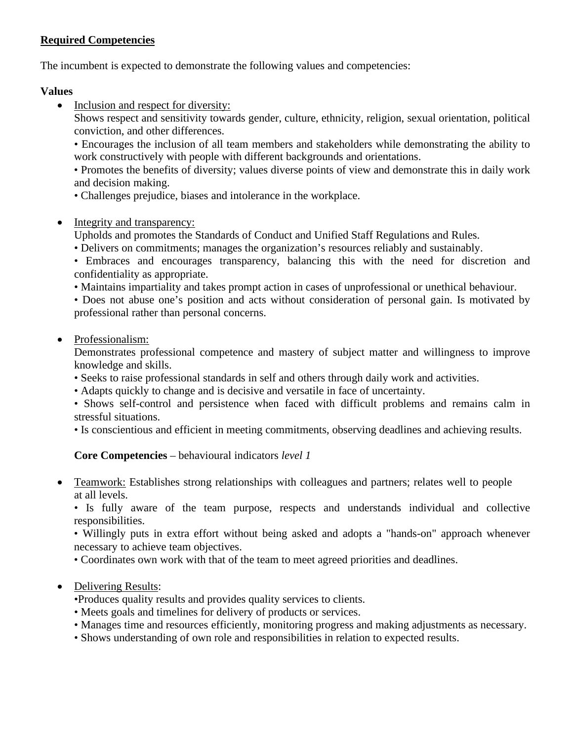# **Required Competencies**

The incumbent is expected to demonstrate the following values and competencies:

### **Values**

• Inclusion and respect for diversity:

Shows respect and sensitivity towards gender, culture, ethnicity, religion, sexual orientation, political conviction, and other differences.

• Encourages the inclusion of all team members and stakeholders while demonstrating the ability to work constructively with people with different backgrounds and orientations.

• Promotes the benefits of diversity; values diverse points of view and demonstrate this in daily work and decision making.

- Challenges prejudice, biases and intolerance in the workplace.
- Integrity and transparency:

Upholds and promotes the Standards of Conduct and Unified Staff Regulations and Rules.

• Delivers on commitments; manages the organization's resources reliably and sustainably.

• Embraces and encourages transparency, balancing this with the need for discretion and confidentiality as appropriate.

• Maintains impartiality and takes prompt action in cases of unprofessional or unethical behaviour.

• Does not abuse one's position and acts without consideration of personal gain. Is motivated by professional rather than personal concerns.

• Professionalism:

Demonstrates professional competence and mastery of subject matter and willingness to improve knowledge and skills.

- Seeks to raise professional standards in self and others through daily work and activities.
- Adapts quickly to change and is decisive and versatile in face of uncertainty.
- Shows self-control and persistence when faced with difficult problems and remains calm in stressful situations.

• Is conscientious and efficient in meeting commitments, observing deadlines and achieving results.

# **Core Competencies** – behavioural indicators *level 1*

• Teamwork: Establishes strong relationships with colleagues and partners; relates well to people at all levels.

• Is fully aware of the team purpose, respects and understands individual and collective responsibilities.

• Willingly puts in extra effort without being asked and adopts a "hands-on" approach whenever necessary to achieve team objectives.

• Coordinates own work with that of the team to meet agreed priorities and deadlines.

# • Delivering Results:

•Produces quality results and provides quality services to clients.

- Meets goals and timelines for delivery of products or services.
- Manages time and resources efficiently, monitoring progress and making adjustments as necessary.
- Shows understanding of own role and responsibilities in relation to expected results.